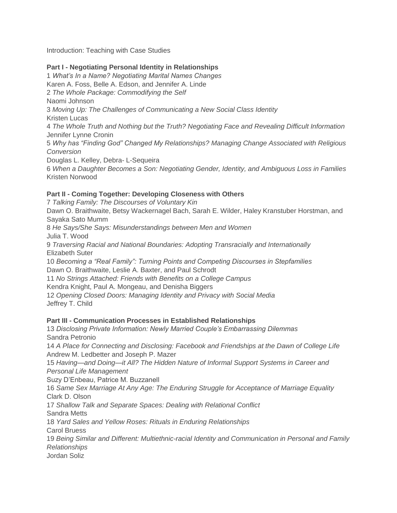Introduction: Teaching with Case Studies

# **Part I - Negotiating Personal Identity in Relationships**

1 *What's In a Name? Negotiating Marital Names Changes* Karen A. Foss, Belle A. Edson, and Jennifer A. Linde 2 *The Whole Package: Commodifying the Self* Naomi Johnson 3 *Moving Up: The Challenges of Communicating a New Social Class Identity* Kristen Lucas 4 *The Whole Truth and Nothing but the Truth? Negotiating Face and Revealing Difficult Information* Jennifer Lynne Cronin 5 *Why has "Finding God" Changed My Relationships? Managing Change Associated with Religious Conversion* Douglas L. Kelley, Debra- L-Sequeira 6 *When a Daughter Becomes a Son: Negotiating Gender, Identity, and Ambiguous Loss in Families* Kristen Norwood

## **Part II - Coming Together: Developing Closeness with Others**

7 *Talking Family: The Discourses of Voluntary Kin* Dawn O. Braithwaite, Betsy Wackernagel Bach, Sarah E. Wilder, Haley Kranstuber Horstman, and Sayaka Sato Mumm 8 *He Says/She Says: Misunderstandings between Men and Women* Julia T. Wood 9 *Traversing Racial and National Boundaries: Adopting Transracially and Internationally* Elizabeth Suter 10 *Becoming a "Real Family": Turning Points and Competing Discourses in Stepfamilies* Dawn O. Braithwaite, Leslie A. Baxter, and Paul Schrodt 11 *No Strings Attached: Friends with Benefits on a College Campus* Kendra Knight, Paul A. Mongeau, and Denisha Biggers 12 *Opening Closed Doors: Managing Identity and Privacy with Social Media* Jeffrey T. Child

## **Part III - Communication Processes in Established Relationships**

13 *Disclosing Private Information: Newly Married Couple's Embarrassing Dilemmas* Sandra Petronio 14 *A Place for Connecting and Disclosing: Facebook and Friendships at the Dawn of College Life* Andrew M. Ledbetter and Joseph P. Mazer 15 *Having—and Doing—it All? The Hidden Nature of Informal Support Systems in Career and Personal Life Management* Suzy D'Enbeau, Patrice M. Buzzanell 16 *Same Sex Marriage At Any Age: The Enduring Struggle for Acceptance of Marriage Equality* Clark D. Olson 17 *Shallow Talk and Separate Spaces: Dealing with Relational Conflict* Sandra Metts 18 *Yard Sales and Yellow Roses: Rituals in Enduring Relationships* Carol Bruess 19 *Being Similar and Different: Multiethnic-racial Identity and Communication in Personal and Family Relationships* Jordan Soliz